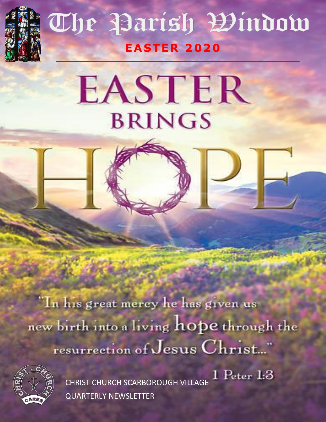

The Parish Bindow **E A S T E R 2 0 2 0**

# EASTER **BRINGS**

"In his great mercy he has given us new birth into a living hope through the resurrection of Jesus Christ..."



1 Peter 1:3 CHRIST CHURCH SCARBOROUGH VILLAGE QUARTERLY NEWSLETTER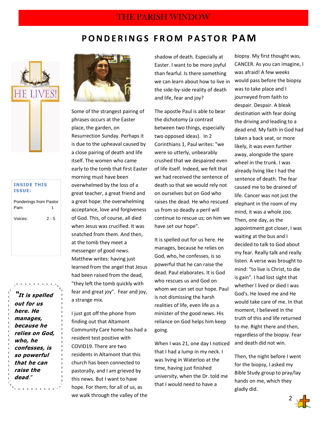# **P O N D E R I N G S F R O M P A S T O R P A M**



| <b>INSIDE THIS</b> |  |
|--------------------|--|
| <b>ISSUE:</b>      |  |

| Ponderings from Pastor |         |
|------------------------|---------|
| Pam:                   | 1       |
| Voices:                | $2 - 5$ |

**"It is spelled out for us here. He manages, because he relies on God, who, he confesses, is so powerful that he can raise the dead**."

الأراض طواطو طواطو طواطو طواطو الأ



Some of the strangest pairing of phrases occurs at the Easter place, the garden, on Resurrection Sunday. Perhaps it is due to the upheaval caused by a close pairing of death and life itself. The women who came early to the tomb that first Easter morning must have been overwhelmed by the loss of a great teacher, a great friend and a great hope: the overwhelming acceptance, love and forgiveness of God. This, of course, all died when Jesus was crucified. It was snatched from them. And then, at the tomb they meet a messenger of good news. Matthew writes: having just learned from the angel that Jesus had been raised from the dead, "they left the tomb quickly with fear and great joy". Fear and joy, a strange mix.

I just got off the phone from finding out that Altamont Community Care home has had a resident test positive with COVID19. There are two residents in Altamont that this church has been connected to pastorally, and I am grieved by this news. But I want to have hope. For them; for all of us, as we walk through the valley of the shadow of death. Especially at Easter. I want to be more joyful than fearful. Is there something we can learn about how to live in the side-by-side reality of death and life, fear and joy?

The apostle Paul is able to bear the dichotomy (a contrast between two things, especially two opposed ideas). In 2 Corinthians 1, Paul writes: "we were so utterly, unbearably crushed that we despaired even of life itself. Indeed, we felt that we had received the sentence of death so that we would rely not on ourselves but on God who raises the dead. He who rescued us from so deadly a peril will continue to rescue us; on him we have set our hope".

It is spelled out for us here. He manages, because he relies on God, who, he confesses, is so powerful that he can raise the dead. Paul elaborates. It is God who rescues us and God on whom we can set our hope. Paul is not dismissing the harsh realities of life, even life as a minister of the good news. His reliance on God helps him keep going.

When I was 21, one day I noticed that I had a lump in my neck. I was living in Waterloo at the time, having just finished university, when the Dr. told me that I would need to have a

biopsy. My first thought was, CANCER. As you can imagine, I was afraid! A few weeks would pass before the biopsy was to take place and I journeyed from faith to despair. Despair. A bleak destination with fear doing the driving and leading to a dead end. My faith in God had taken a back seat, or more likely, it was even further away, alongside the spare wheel in the trunk. I was already living like I had the sentence of death. The fear caused me to be drained of life. Cancer was not just the elephant in the room of my mind, it was a whole zoo. Then, one day, as the appointment got closer, I was waiting at the bus and I decided to talk to God about my fear. Really talk and really listen. A verse was brought to mind: "to live is Christ, to die is gain". I had lost sight that whether I lived or died I was God's. He loved me and He would take care of me. In that moment, I believed in the truth of this and life returned to me. Right there and then, regardless of the biopsy. Fear and death did not win.

Then, the night before I went for the biopsy, I asked my Bible Study group to pray/lay hands on me, which they gladly did.

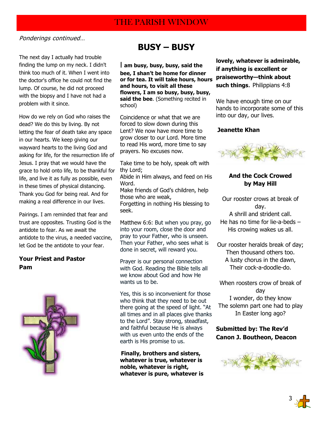Ponderings continued…

The next day I actually had trouble finding the lump on my neck. I didn't think too much of it. When I went into the doctor's office he could not find the lump. Of course, he did not proceed with the biopsy and I have not had a problem with it since.

How do we rely on God who raises the dead? We do this by living. By not letting the fear of death take any space in our hearts. We keep giving our wayward hearts to the living God and asking for life, for the resurrection life of Jesus. I pray that we would have the grace to hold onto life, to be thankful for life, and live it as fully as possible, even in these times of physical distancing. Thank you God for being real. And for making a real difference in our lives.

Pairings. I am reminded that fear and trust are opposites. Trusting God is the antidote to fear. As we await the antidote to the virus, a needed vaccine, let God be the antidote to your fear.

#### **Your Priest and Pastor Pam**



# **BUSY – BUSY**

I **am busy, busy, busy, said the bee, I shan't be home for dinner or for tea. It will take hours, hours and hours, to visit all these flowers, I am so busy, busy, busy, said the bee**. (Something recited in school)

Coincidence or what that we are forced to slow down during this Lent? We now have more time to grow closer to our Lord. More time to read His word, more time to say prayers. No excuses now.

Take time to be holy, speak oft with thy Lord;

Abide in Him always, and feed on His Word.

Make friends of God's children, help those who are weak,

Forgetting in nothing His blessing to seek.

Matthew 6:6: But when you pray, go into your room, close the door and pray to your Father, who is unseen. Then your Father, who sees what is done in secret, will reward you.

Prayer is our personal connection with God. Reading the Bible tells all we know about God and how He wants us to be.

Yes, this is so inconvenient for those who think that they need to be out there going at the speed of light. "At all times and in all places give thanks to the Lord". Stay strong, steadfast, and faithful because He is always with us even unto the ends of the earth is His promise to us.

**Finally, brothers and sisters, whatever is true, whatever is noble, whatever is right, whatever is pure, whatever is** **lovely, whatever is admirable, if anything is excellent or praiseworthy—think about such things.** Philippians 4:8

We have enough time on our hands to incorporate some of this into our day, our lives.

#### **Jeanette Khan**



#### **And the Cock Crowed by May Hill**

Our rooster crows at break of day. A shrill and strident call. He has no time for lie-a-beds – His crowing wakes us all.

Our rooster heralds break of day; Then thousand others too. A lusty chorus in the dawn, Their cock-a-doodle-do.

When roosters crow of break of day I wonder, do they know The solemn part one had to play In Easter long ago?

#### **Submitted by: The Rev'd Canon J. Boutheon, Deacon**



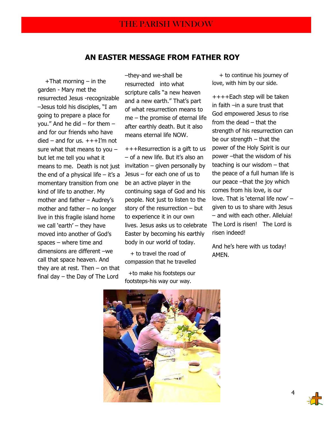# **AN EASTER MESSAGE FROM FATHER ROY**

+That morning – in the garden - Mary met the resurrected Jesus -recognizable –Jesus told his disciples, "I am going to prepare a place for you." And he did – for them – and for our friends who have  $died - and for us. +++I'm not$ sure what that means to you  $$ but let me tell you what it the end of a physical life  $-$  it's a momentary transition from one kind of life to another. My mother and father – Audrey's mother and father – no longer live in this fragile island home we call 'earth' – they have moved into another of God's spaces – where time and dimensions are different –we call that space heaven. And they are at rest. Then  $-$  on that final day – the Day of The Lord

–they-and we-shall be resurrected into what scripture calls "a new heaven and a new earth." That's part of what resurrection means to me – the promise of eternal life after earthly death. But it also means eternal life NOW.

means to me. Death is not just invitation – given personally by +++Resurrection is a gift to us – of a new life. But it's also an Jesus – for each one of us to be an active player in the continuing saga of God and his people. Not just to listen to the story of the resurrection – but to experience it in our own lives. Jesus asks us to celebrate Easter by becoming his earthly body in our world of today.

> + to travel the road of compassion that he travelled

 +to make his footsteps our footsteps-his way our way.

 + to continue his journey of love, with him by our side.

++++Each step will be taken in faith –in a sure trust that God empowered Jesus to rise from the dead – that the strength of his resurrection can be our strength  $-$  that the power of the Holy Spirit is our power –that the wisdom of his teaching is our wisdom – that the peace of a full human life is our peace –that the joy which comes from his love, is our love. That is 'eternal life now' – given to us to share with Jesus – and with each other. Alleluia! The Lord is risen! The Lord is risen indeed!

And he's here with us today! AMEN.



4

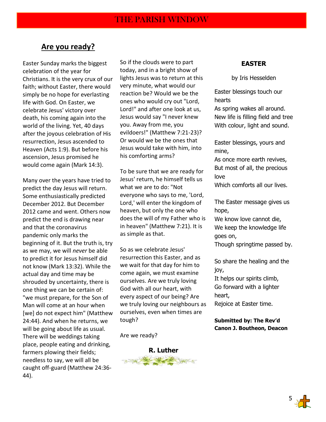# **Are you ready?**

Easter Sunday marks the biggest celebration of the year for Christians. It is the very crux of our faith; without Easter, there would simply be no hope for everlasting life with God. On Easter, we celebrate Jesus' victory over death, his coming again into the world of the living. Yet, 40 days after the joyous celebration of His resurrection, Jesus ascended to Heaven (Acts 1:9). But before his ascension, Jesus promised he would come again (Mark 14:3).

Many over the years have tried to predict the day Jesus will return. Some enthusiastically predicted December 2012. But December 2012 came and went. Others now predict the end is drawing near and that the coronavirus pandemic only marks the beginning of it. But the truth is, try as we may, we will *never* be able to predict it for Jesus himself did not know (Mark 13:32). While the actual day and time may be shrouded by uncertainty, there is one thing we can be certain of: "we must prepare, for the Son of Man will come at an hour when [we] do not expect him" (Matthew 24:44). And when he returns, we will be going about life as usual. There will be weddings taking place, people eating and drinking, farmers plowing their fields; needless to say, we will all be caught off-guard (Matthew 24:36- 44).

So if the clouds were to part today, and in a bright show of lights Jesus was to return at this very minute, what would our reaction be? Would we be the ones who would cry out "Lord, Lord!" and after one look at us, Jesus would say "I never knew you. Away from me, you evildoers!" (Matthew 7:21-23)? Or would we be the ones that Jesus would take with him, into his comforting arms?

To be sure that we are ready for Jesus' return, he himself tells us what we are to do: "Not everyone who says to me, 'Lord, Lord,' will enter the kingdom of heaven, but only the one who does the will of my Father who is in heaven" (Matthew 7:21). It is as simple as that.

So as we celebrate Jesus' resurrection this Easter, and as we wait for that day for him to come again, we must examine ourselves. Are we truly loving God with all our heart, with every aspect of our being? Are we truly loving our neighbours as ourselves, even when times are tough?

Are we ready?



#### **EASTER**

by Iris Hesselden

Easter blessings touch our hearts

As spring wakes all around. New life is filling field and tree With colour, light and sound.

Easter blessings, yours and mine, As once more earth revives, But most of all, the precious

love

Which comforts all our lives.

The Easter message gives us hope,

We know love cannot die, We keep the knowledge life goes on,

Though springtime passed by.

So share the healing and the joy, It helps our spirits climb, Go forward with a lighter

heart, Rejoice at Easter time.

**Submitted by: The Rev'd** 

**Canon J. Boutheon, Deacon**

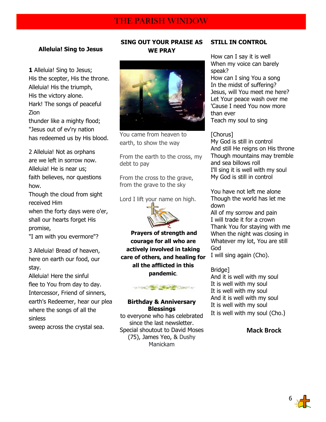#### **Alleluia! Sing to Jesus**

**1** Alleluia! Sing to Jesus; His the scepter, His the throne. Alleluia! His the triumph, His the victory alone. Hark! The songs of peaceful Zion thunder like a mighty flood;

"Jesus out of ev'ry nation has redeemed us by His blood.

2 Alleluia! Not as orphans are we left in sorrow now. Alleluia! He is near us; faith believes, nor questions how.

Though the cloud from sight received Him when the forty days were o'er, shall our hearts forget His promise,

"I am with you evermore"?

3 Alleluia! Bread of heaven, here on earth our food, our stay.

Alleluia! Here the sinful flee to You from day to day. Intercessor, Friend of sinners, earth's Redeemer, hear our plea where the songs of all the sinless

sweep across the crystal sea.

#### **SING OUT YOUR PRAISE AS WE PRAY**



You came from heaven to earth, to show the way

From the earth to the cross, my debt to pay

From the cross to the grave, from the grave to the sky

Lord I lift your name on high.



**Prayers of strength and courage for all who are actively involved in taking care of others, and healing for all the afflicted in this pandemic**.



# **Birthday & Anniversary Blessings**

to everyone who has celebrated since the last newsletter. Special shoutout to David Moses (75), James Yeo, & Dushy Manickam

#### **STILL IN CONTROL**

How can I say it is well When my voice can barely speak? How can I sing You a song In the midst of suffering? Jesus, will You meet me here? Let Your peace wash over me 'Cause I need You now more than ever

Teach my soul to sing

#### [Chorus]

My God is still in control And still He reigns on His throne Though mountains may tremble and sea billows roll I'll sing it is well with my soul My God is still in control

You have not left me alone Though the world has let me down All of my sorrow and pain I will trade it for a crown Thank You for staying with me When the night was closing in Whatever my lot, You are still God

I will sing again (Cho).

#### Bridge]

And it is well with my soul It is well with my soul It is well with my soul And it is well with my soul It is well with my soul It is well with my soul (Cho.)

#### **Mack Brock**

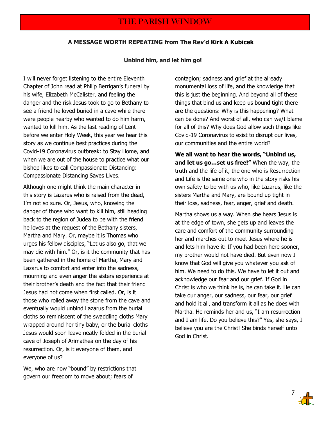#### **A MESSAGE WORTH REPEATING from The Rev'd Kirk A Kubicek**

#### **Unbind him, and let him go!**

I will never forget listening to the entire Eleventh Chapter of John read at Philip Berrigan's funeral by his wife, Elizabeth McCalister, and feeling the danger and the risk Jesus took to go to Bethany to see a friend he loved buried in a cave while there were people nearby who wanted to do him harm, wanted to kill him. As the last reading of Lent before we enter Holy Week, this year we hear this story as we continue best practices during the Covid-19 Coronavirus outbreak: to Stay Home, and when we are out of the house to practice what our bishop likes to call Compassionate Distancing: Compassionate Distancing Saves Lives.

Although one might think the main character in this story is Lazarus who is raised from the dead, I'm not so sure. Or, Jesus, who, knowing the danger of those who want to kill him, still heading back to the region of Judea to be with the friend he loves at the request of the Bethany sisters, Martha and Mary. Or, maybe it is Thomas who urges his fellow disciples, "Let us also go, that we may die with him." Or, is it the community that has been gathered in the home of Martha, Mary and Lazarus to comfort and enter into the sadness, mourning and even anger the sisters experience at their brother's death and the fact that their friend Jesus had not come when first called. Or, is it those who rolled away the stone from the cave and eventually would unbind Lazarus from the burial cloths so reminiscent of the swaddling cloths Mary wrapped around her tiny baby, or the burial cloths Jesus would soon leave neatly folded in the burial cave of Joseph of Arimathea on the day of his resurrection. Or, is it everyone of them, and everyone of us?

We, who are now "bound" by restrictions that govern our freedom to move about; fears of

contagion; sadness and grief at the already monumental loss of life, and the knowledge that this is just the beginning. And beyond all of these things that bind us and keep us bound tight there are the questions: Why is this happening? What can be done? And worst of all, who can we/I blame for all of this? Why does God allow such things like Covid-19 Coronavirus to exist to disrupt our lives, our communities and the entire world?

**We all want to hear the words, "Unbind us, and let us go…set us free!"** When the way, the truth and the life of it, the one who is Resurrection and Life is the same one who in the story risks his own safety to be with us who, like Lazarus, like the sisters Martha and Mary, are bound up tight in their loss, sadness, fear, anger, grief and death.

Martha shows us a way. When she hears Jesus is at the edge of town, she gets up and leaves the care and comfort of the community surrounding her and marches out to meet Jesus where he is and lets him have it: If you had been here sooner, my brother would not have died. But even now I know that God will give you whatever you ask of him. We need to do this. We have to let it out and acknowledge our fear and our grief. If God in Christ is who we think he is, he can take it. He can take our anger, our sadness, our fear, our grief and hold it all, and transform it all as he does with Martha. He reminds her and us, "I am resurrection and I am life. Do you believe this?" Yes, she says, I believe you are the Christ! She binds herself unto God in Christ.

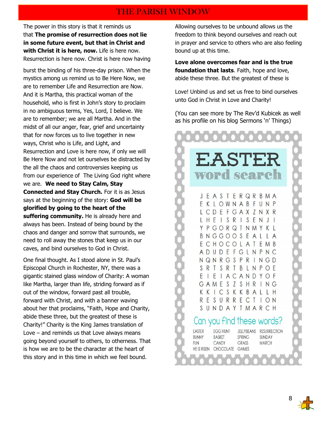The power in this story is that it reminds us that **The promise of resurrection does not lie in some future event, but that in Christ and with Christ it is here, now.** Life is here now. Resurrection is here now. Christ is here now having

burst the binding of his three-day prison. When the mystics among us remind us to Be Here Now, we are to remember Life and Resurrection are Now. And it is Martha, this practical woman of the household, who is first in John's story to proclaim in no ambiguous terms, Yes, Lord, I believe. We are to remember; we are all Martha. And in the midst of all our anger, fear, grief and uncertainty that for now forces us to live together in new ways, Christ who is Life, and Light, and Resurrection and Love is here now, if only we will Be Here Now and not let ourselves be distracted by the all the chaos and controversies keeping us from our experience of The Living God right where we are. **We need to Stay Calm, Stay Connected and Stay Church.** For it is as Jesus says at the beginning of the story: **God will be glorified by going to the heart of the suffering community.** He is already here and always has been. Instead of being bound by the chaos and danger and sorrow that surrounds, we need to roll away the stones that keep us in our caves, and bind ourselves to God in Christ.

One final thought. As I stood alone in St. Paul's Episcopal Church in Rochester, NY, there was a gigantic stained glass window of Charity: A woman like Martha, larger than life, striding forward as if out of the window, forward past all trouble, forward with Christ, and with a banner waving about her that proclaims, "Faith, Hope and Charity, abide these three, but the greatest of these is Charity!" Charity is the King James translation of Love – and reminds us that Love always means going beyond yourself to others, to otherness. That is how we are to be the character at the heart of this story and in this time in which we feel bound.

Allowing ourselves to be unbound allows us the freedom to think beyond ourselves and reach out in prayer and service to others who are also feeling bound up at this time.

**Love alone overcomes fear and is the true foundation that lasts**. Faith, hope and love, abide these three. But the greatest of these is

Love! Unbind us and set us free to bind ourselves unto God in Christ in Love and Charity!

(You can see more by The Rev'd Kubicek as well as his profile on his blog Sermons 'n' Things)

**EASTER** word search **JEASTERQRBMA** EKLOWNABFUNP LCDEFGAXZNXR L H E I S R I S E N J I YPGORQINMYKL BNGGOOSEALLA ECHOCOLATEMB ADUDEFGLNPNC NQNRGSPRINGD **SRTSRTBLNPOE** EIEIACANDYOF **GAMESZSHRING** KKICSKKBALLH **RESURRECTION** SUNDAYIMARCH Can you find these words? **EGG HUNT** JELLYBEANS RESURRECTION **EASTER BUNNY BASKET SPRING SUNDAY FUN** CANDY **GRASS MARCH** HE IS RISEN CHOCOLATE GAMES

8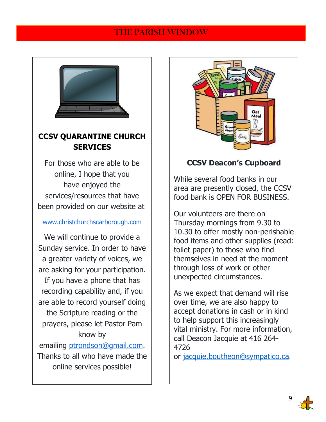

# **CCSV QUARANTINE CHURCH SERVICES**

For those who are able to be online, I hope that you have enjoyed the services/resources that have been provided on our website at

# [www.christchurchscarborough.com](http://www.christchurchscarborough.com/)

We will continue to provide a Sunday service. In order to have a greater variety of voices, we are asking for your participation. If you have a phone that has recording capability and, if you are able to record yourself doing the Scripture reading or the prayers, please let Pastor Pam know by emailing [ptrondson@gmail.com.](mailto:ptrondson@gmail.com) Thanks to all who have made the online services possible!



# **CCSV Deacon's Cupboard**

While several food banks in our area are presently closed, the CCSV food bank is OPEN FOR BUSINESS.

Our volunteers are there on Thursday mornings from 9.30 to 10.30 to offer mostly non-perishable food items and other supplies (read: toilet paper) to those who find themselves in need at the moment through loss of work or other unexpected circumstances.

As we expect that demand will rise over time, we are also happy to accept donations in cash or in kind to help support this increasingly vital ministry. For more information, call Deacon Jacquie at 416 264- 4726

or [jacquie.boutheon@sympatico.ca](mailto:jacquie.boutheon@sympatico.ca).

9